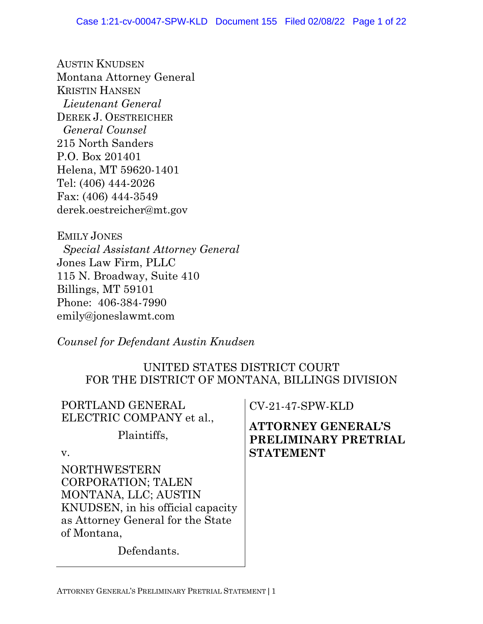AUSTIN KNUDSEN Montana Attorney General KRISTIN HANSEN *Lieutenant General* DEREK J. OESTREICHER  *General Counsel* 215 North Sanders P.O. Box 201401 Helena, MT 59620-1401 Tel: (406) 444-2026 Fax: (406) 444-3549 derek.oestreicher@mt.gov

EMILY JONES  *Special Assistant Attorney General* Jones Law Firm, PLLC 115 N. Broadway, Suite 410 Billings, MT 59101 Phone: 406-384-7990 emily@joneslawmt.com

*Counsel for Defendant Austin Knudsen*

# UNITED STATES DISTRICT COURT FOR THE DISTRICT OF MONTANA, BILLINGS DIVISION

| PORTLAND GENERAL<br>ELECTRIC COMPANY et al.,                                                                                                                                     | <b>CV-21-47-SPW-KLD</b>                                               |
|----------------------------------------------------------------------------------------------------------------------------------------------------------------------------------|-----------------------------------------------------------------------|
| Plaintiffs,<br>V.                                                                                                                                                                | <b>ATTORNEY GENERAL'S</b><br>PRELIMINARY PRETRIAL<br><b>STATEMENT</b> |
| <b>NORTHWESTERN</b><br><b>CORPORATION; TALEN</b><br>MONTANA, LLC; AUSTIN<br>KNUDSEN, in his official capacity<br>as Attorney General for the State<br>of Montana,<br>Defendants. |                                                                       |
|                                                                                                                                                                                  |                                                                       |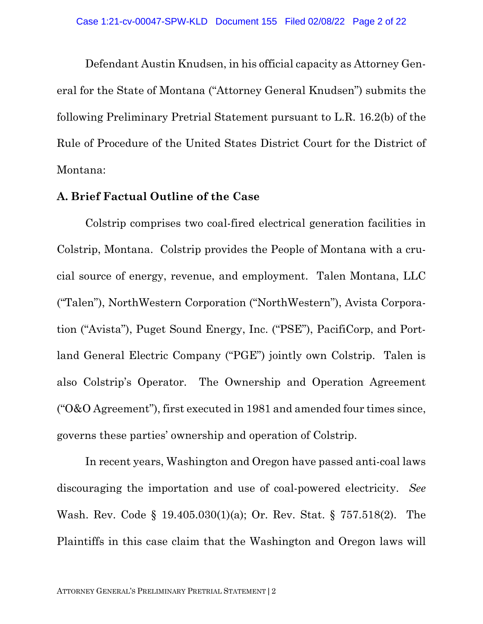Defendant Austin Knudsen, in his official capacity as Attorney General for the State of Montana ("Attorney General Knudsen") submits the following Preliminary Pretrial Statement pursuant to L.R. 16.2(b) of the Rule of Procedure of the United States District Court for the District of Montana:

#### **A. Brief Factual Outline of the Case**

Colstrip comprises two coal-fired electrical generation facilities in Colstrip, Montana. Colstrip provides the People of Montana with a crucial source of energy, revenue, and employment. Talen Montana, LLC ("Talen"), NorthWestern Corporation ("NorthWestern"), Avista Corporation ("Avista"), Puget Sound Energy, Inc. ("PSE"), PacifiCorp, and Portland General Electric Company ("PGE") jointly own Colstrip. Talen is also Colstrip's Operator. The Ownership and Operation Agreement ("O&O Agreement"), first executed in 1981 and amended four times since, governs these parties' ownership and operation of Colstrip.

In recent years, Washington and Oregon have passed anti-coal laws discouraging the importation and use of coal-powered electricity. *See* Wash. Rev. Code § 19.405.030(1)(a); Or. Rev. Stat. § 757.518(2). The Plaintiffs in this case claim that the Washington and Oregon laws will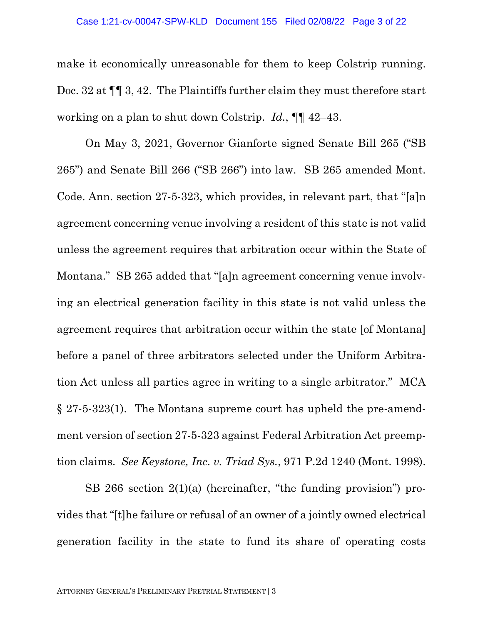make it economically unreasonable for them to keep Colstrip running. Doc. 32 at  $\P$  3, 42. The Plaintiffs further claim they must therefore start working on a plan to shut down Colstrip. *Id.*, ¶¶ 42–43.

On May 3, 2021, Governor Gianforte signed Senate Bill 265 ("SB 265") and Senate Bill 266 ("SB 266") into law. SB 265 amended Mont. Code. Ann. section 27-5-323, which provides, in relevant part, that "[a]n agreement concerning venue involving a resident of this state is not valid unless the agreement requires that arbitration occur within the State of Montana." SB 265 added that "[a]n agreement concerning venue involving an electrical generation facility in this state is not valid unless the agreement requires that arbitration occur within the state [of Montana] before a panel of three arbitrators selected under the Uniform Arbitration Act unless all parties agree in writing to a single arbitrator." MCA § 27-5-323(1). The Montana supreme court has upheld the pre-amendment version of section 27-5-323 against Federal Arbitration Act preemption claims. *See Keystone, Inc. v. Triad Sys.*, 971 P.2d 1240 (Mont. 1998).

SB 266 section 2(1)(a) (hereinafter, "the funding provision") provides that "[t]he failure or refusal of an owner of a jointly owned electrical generation facility in the state to fund its share of operating costs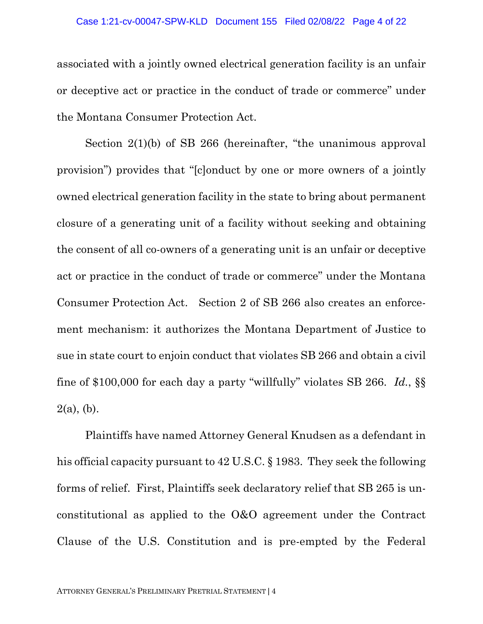associated with a jointly owned electrical generation facility is an unfair or deceptive act or practice in the conduct of trade or commerce" under the Montana Consumer Protection Act.

Section 2(1)(b) of SB 266 (hereinafter, "the unanimous approval provision") provides that "[c]onduct by one or more owners of a jointly owned electrical generation facility in the state to bring about permanent closure of a generating unit of a facility without seeking and obtaining the consent of all co-owners of a generating unit is an unfair or deceptive act or practice in the conduct of trade or commerce" under the Montana Consumer Protection Act. Section 2 of SB 266 also creates an enforcement mechanism: it authorizes the Montana Department of Justice to sue in state court to enjoin conduct that violates SB 266 and obtain a civil fine of \$100,000 for each day a party "willfully" violates SB 266. *Id.*, §§  $2(a)$ , (b).

Plaintiffs have named Attorney General Knudsen as a defendant in his official capacity pursuant to 42 U.S.C. § 1983. They seek the following forms of relief. First, Plaintiffs seek declaratory relief that SB 265 is unconstitutional as applied to the O&O agreement under the Contract Clause of the U.S. Constitution and is pre-empted by the Federal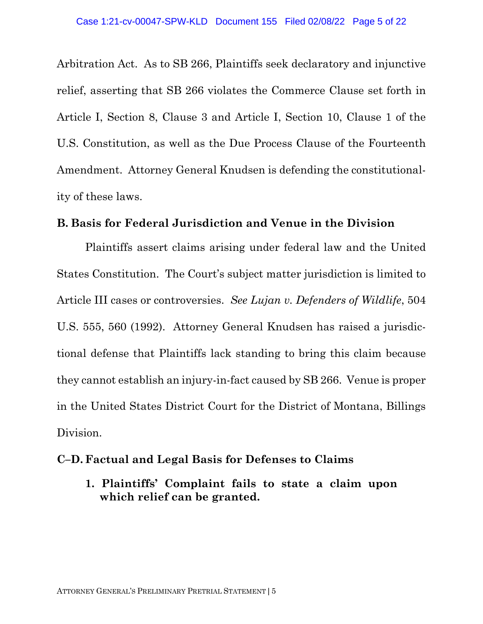Arbitration Act. As to SB 266, Plaintiffs seek declaratory and injunctive relief, asserting that SB 266 violates the Commerce Clause set forth in Article I, Section 8, Clause 3 and Article I, Section 10, Clause 1 of the U.S. Constitution, as well as the Due Process Clause of the Fourteenth Amendment. Attorney General Knudsen is defending the constitutionality of these laws.

#### **B. Basis for Federal Jurisdiction and Venue in the Division**

Plaintiffs assert claims arising under federal law and the United States Constitution. The Court's subject matter jurisdiction is limited to Article III cases or controversies. *See Lujan v. Defenders of Wildlife*, 504 U.S. 555, 560 (1992). Attorney General Knudsen has raised a jurisdictional defense that Plaintiffs lack standing to bring this claim because they cannot establish an injury-in-fact caused by SB 266. Venue is proper in the United States District Court for the District of Montana, Billings Division.

### **C–D. Factual and Legal Basis for Defenses to Claims**

**1. Plaintiffs' Complaint fails to state a claim upon which relief can be granted.**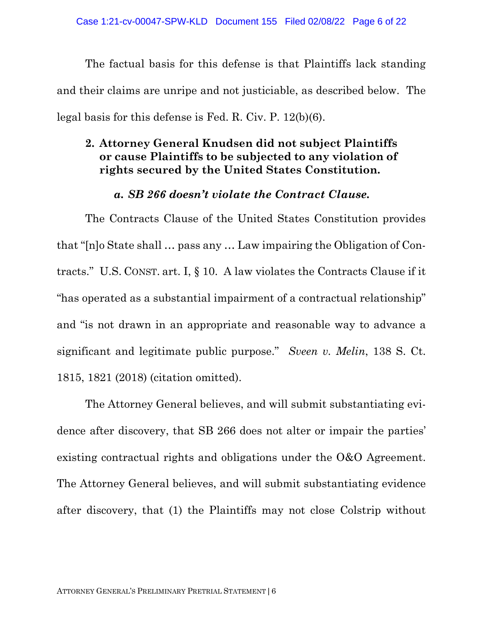The factual basis for this defense is that Plaintiffs lack standing and their claims are unripe and not justiciable, as described below. The legal basis for this defense is Fed. R. Civ. P. 12(b)(6).

# **2. Attorney General Knudsen did not subject Plaintiffs or cause Plaintiffs to be subjected to any violation of rights secured by the United States Constitution.**

### *a. SB 266 doesn't violate the Contract Clause.*

The Contracts Clause of the United States Constitution provides that "[n]o State shall … pass any … Law impairing the Obligation of Contracts." U.S. CONST. art. I, § 10. A law violates the Contracts Clause if it "has operated as a substantial impairment of a contractual relationship" and "is not drawn in an appropriate and reasonable way to advance a significant and legitimate public purpose." *Sveen v. Melin*, 138 S. Ct. 1815, 1821 (2018) (citation omitted).

The Attorney General believes, and will submit substantiating evidence after discovery, that SB 266 does not alter or impair the parties' existing contractual rights and obligations under the O&O Agreement. The Attorney General believes, and will submit substantiating evidence after discovery, that (1) the Plaintiffs may not close Colstrip without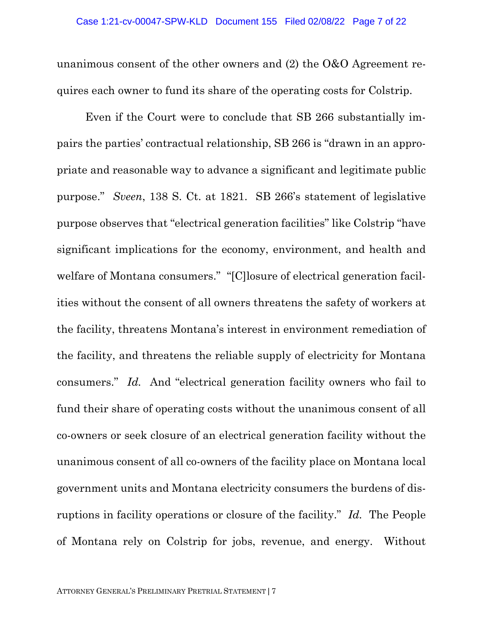unanimous consent of the other owners and (2) the O&O Agreement requires each owner to fund its share of the operating costs for Colstrip.

Even if the Court were to conclude that SB 266 substantially impairs the parties' contractual relationship, SB 266 is "drawn in an appropriate and reasonable way to advance a significant and legitimate public purpose." *Sveen*, 138 S. Ct. at 1821. SB 266's statement of legislative purpose observes that "electrical generation facilities" like Colstrip "have significant implications for the economy, environment, and health and welfare of Montana consumers." "[C]losure of electrical generation facilities without the consent of all owners threatens the safety of workers at the facility, threatens Montana's interest in environment remediation of the facility, and threatens the reliable supply of electricity for Montana consumers." *Id.* And "electrical generation facility owners who fail to fund their share of operating costs without the unanimous consent of all co-owners or seek closure of an electrical generation facility without the unanimous consent of all co-owners of the facility place on Montana local government units and Montana electricity consumers the burdens of disruptions in facility operations or closure of the facility." *Id.* The People of Montana rely on Colstrip for jobs, revenue, and energy. Without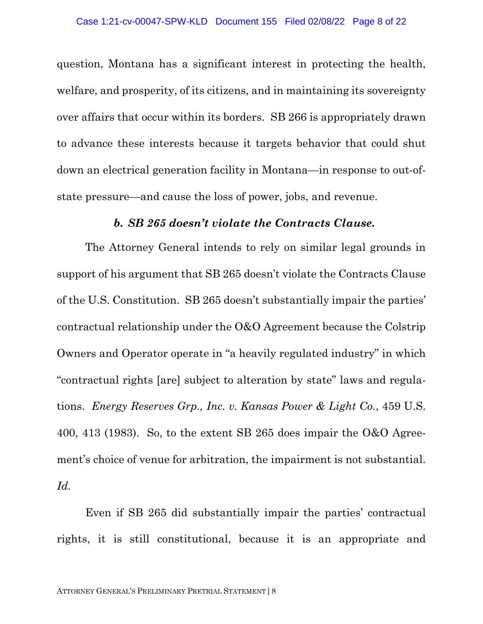question, Montana has a significant interest in protecting the health, welfare, and prosperity, of its citizens, and in maintaining its sovereignty over affairs that occur within its borders. SB 266 is appropriately drawn to advance these interests because it targets behavior that could shut down an electrical generation facility in Montana—in response to out-ofstate pressure—and cause the loss of power, jobs, and revenue.

#### *b. SB 265 doesn't violate the Contracts Clause.*

The Attorney General intends to rely on similar legal grounds in support of his argument that SB 265 doesn't violate the Contracts Clause of the U.S. Constitution. SB 265 doesn't substantially impair the parties' contractual relationship under the O&O Agreement because the Colstrip Owners and Operator operate in "a heavily regulated industry" in which "contractual rights [are] subject to alteration by state" laws and regulations. *Energy Reserves Grp., Inc. v. Kansas Power & Light Co.*, 459 U.S. 400, 413 (1983). So, to the extent SB 265 does impair the  $0&0$  Agreement's choice of venue for arbitration, the impairment is not substantial. *Id.* 

Even if SB 265 did substantially impair the parties' contractual rights, it is still constitutional, because it is an appropriate and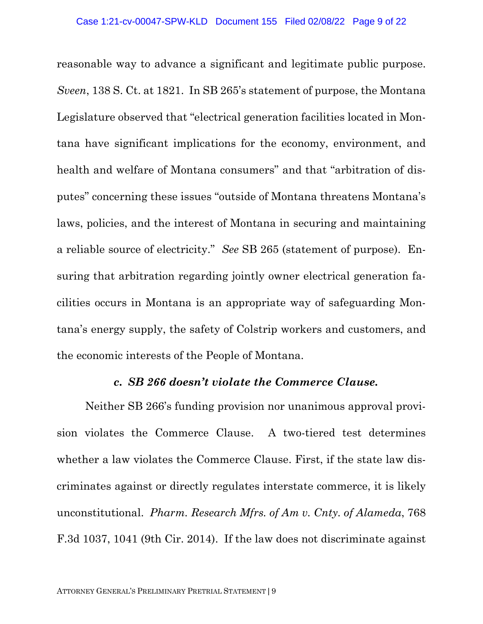reasonable way to advance a significant and legitimate public purpose. *Sveen*, 138 S. Ct. at 1821. In SB 265's statement of purpose, the Montana Legislature observed that "electrical generation facilities located in Montana have significant implications for the economy, environment, and health and welfare of Montana consumers" and that "arbitration of disputes" concerning these issues "outside of Montana threatens Montana's laws, policies, and the interest of Montana in securing and maintaining a reliable source of electricity." *See* SB 265 (statement of purpose). Ensuring that arbitration regarding jointly owner electrical generation facilities occurs in Montana is an appropriate way of safeguarding Montana's energy supply, the safety of Colstrip workers and customers, and the economic interests of the People of Montana.

### *c. SB 266 doesn't violate the Commerce Clause.*

Neither SB 266's funding provision nor unanimous approval provision violates the Commerce Clause. A two-tiered test determines whether a law violates the Commerce Clause. First, if the state law discriminates against or directly regulates interstate commerce, it is likely unconstitutional. *Pharm. Research Mfrs. of Am v. Cnty. of Alameda*, 768 F.3d 1037, 1041 (9th Cir. 2014). If the law does not discriminate against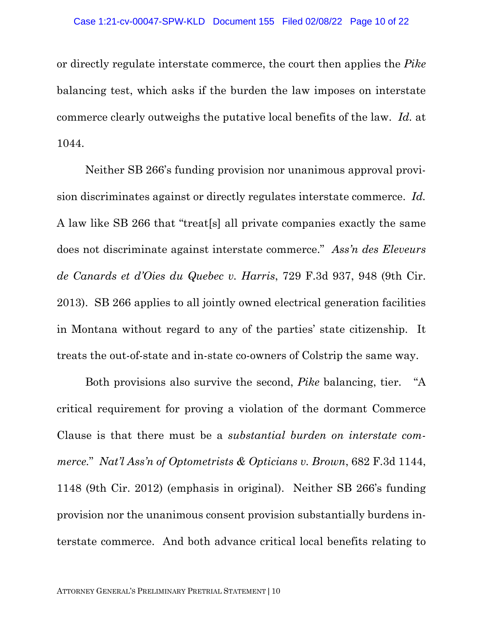or directly regulate interstate commerce, the court then applies the *Pike*  balancing test, which asks if the burden the law imposes on interstate commerce clearly outweighs the putative local benefits of the law. *Id.* at 1044.

Neither SB 266's funding provision nor unanimous approval provision discriminates against or directly regulates interstate commerce. *Id.* A law like SB 266 that "treat[s] all private companies exactly the same does not discriminate against interstate commerce." *Ass'n des Eleveurs de Canards et d'Oies du Quebec v. Harris*, 729 F.3d 937, 948 (9th Cir. 2013). SB 266 applies to all jointly owned electrical generation facilities in Montana without regard to any of the parties' state citizenship. It treats the out-of-state and in-state co-owners of Colstrip the same way.

Both provisions also survive the second, *Pike* balancing, tier. "A critical requirement for proving a violation of the dormant Commerce Clause is that there must be a *substantial burden on interstate commerce.*" *Nat'l Ass'n of Optometrists & Opticians v. Brown*, 682 F.3d 1144, 1148 (9th Cir. 2012) (emphasis in original). Neither SB 266's funding provision nor the unanimous consent provision substantially burdens interstate commerce. And both advance critical local benefits relating to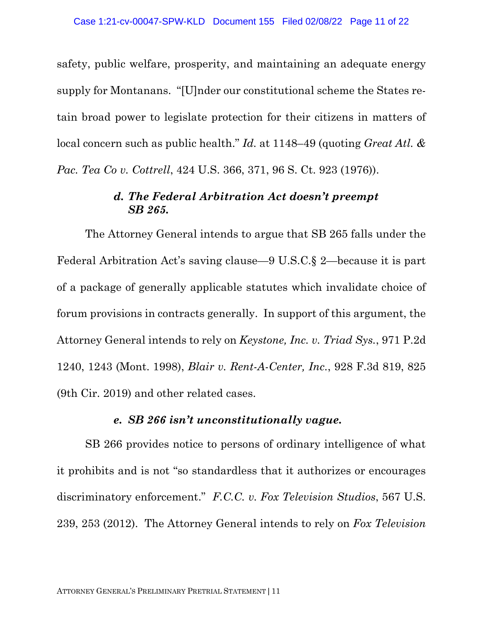safety, public welfare, prosperity, and maintaining an adequate energy supply for Montanans. "[U]nder our constitutional scheme the States retain broad power to legislate protection for their citizens in matters of local concern such as public health." *Id.* at 1148–49 (quoting *Great Atl. & Pac. Tea Co v. Cottrell*, 424 U.S. 366, 371, 96 S. Ct. 923 (1976)).

## *d. The Federal Arbitration Act doesn't preempt SB 265.*

The Attorney General intends to argue that SB 265 falls under the Federal Arbitration Act's saving clause—9 U.S.C.§ 2—because it is part of a package of generally applicable statutes which invalidate choice of forum provisions in contracts generally. In support of this argument, the Attorney General intends to rely on *Keystone, Inc. v. Triad Sys.*, 971 P.2d 1240, 1243 (Mont. 1998), *Blair v. Rent-A-Center, Inc.*, 928 F.3d 819, 825 (9th Cir. 2019) and other related cases.

#### *e. SB 266 isn't unconstitutionally vague.*

SB 266 provides notice to persons of ordinary intelligence of what it prohibits and is not "so standardless that it authorizes or encourages discriminatory enforcement." *F.C.C. v. Fox Television Studios*, 567 U.S. 239, 253 (2012). The Attorney General intends to rely on *Fox Television*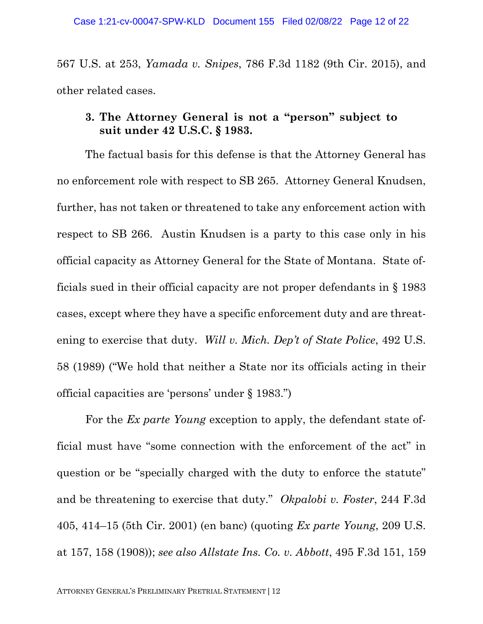567 U.S. at 253, *Yamada v. Snipes*, 786 F.3d 1182 (9th Cir. 2015), and other related cases.

## **3. The Attorney General is not a "person" subject to suit under 42 U.S.C. § 1983.**

The factual basis for this defense is that the Attorney General has no enforcement role with respect to SB 265. Attorney General Knudsen, further, has not taken or threatened to take any enforcement action with respect to SB 266. Austin Knudsen is a party to this case only in his official capacity as Attorney General for the State of Montana. State officials sued in their official capacity are not proper defendants in § 1983 cases, except where they have a specific enforcement duty and are threatening to exercise that duty. *Will v. Mich. Dep't of State Police*, 492 U.S. 58 (1989) ("We hold that neither a State nor its officials acting in their official capacities are 'persons' under § 1983.")

For the *Ex parte Young* exception to apply, the defendant state official must have "some connection with the enforcement of the act" in question or be "specially charged with the duty to enforce the statute" and be threatening to exercise that duty." *Okpalobi v. Foster*, 244 F.3d 405, 414–15 (5th Cir. 2001) (en banc) (quoting *Ex parte Young*, 209 U.S. at 157, 158 (1908)); *see also Allstate Ins. Co. v. Abbott*, 495 F.3d 151, 159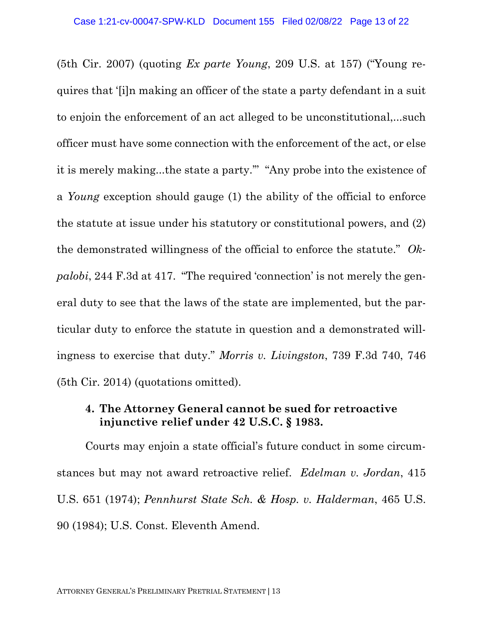(5th Cir. 2007) (quoting *Ex parte Young*, 209 U.S. at 157) ("Young requires that '[i]n making an officer of the state a party defendant in a suit to enjoin the enforcement of an act alleged to be unconstitutional,...such officer must have some connection with the enforcement of the act, or else it is merely making...the state a party.'" "Any probe into the existence of a *Young* exception should gauge (1) the ability of the official to enforce the statute at issue under his statutory or constitutional powers, and (2) the demonstrated willingness of the official to enforce the statute." *Okpalobi*, 244 F.3d at 417. "The required 'connection' is not merely the general duty to see that the laws of the state are implemented, but the particular duty to enforce the statute in question and a demonstrated willingness to exercise that duty." *Morris v. Livingston*, 739 F.3d 740, 746 (5th Cir. 2014) (quotations omitted).

### **4. The Attorney General cannot be sued for retroactive injunctive relief under 42 U.S.C. § 1983.**

Courts may enjoin a state official's future conduct in some circumstances but may not award retroactive relief. *Edelman v. Jordan*, 415 U.S. 651 (1974); *Pennhurst State Sch. & Hosp. v. Halderman*, 465 U.S. 90 (1984); U.S. Const. Eleventh Amend.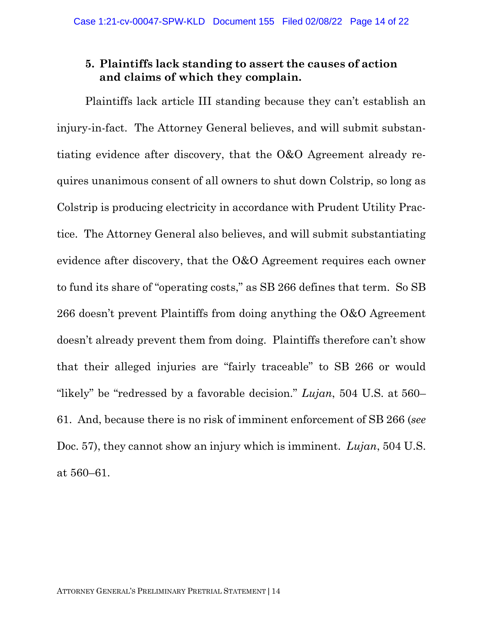# **5. Plaintiffs lack standing to assert the causes of action and claims of which they complain.**

Plaintiffs lack article III standing because they can't establish an injury-in-fact. The Attorney General believes, and will submit substantiating evidence after discovery, that the O&O Agreement already requires unanimous consent of all owners to shut down Colstrip, so long as Colstrip is producing electricity in accordance with Prudent Utility Practice. The Attorney General also believes, and will submit substantiating evidence after discovery, that the O&O Agreement requires each owner to fund its share of "operating costs," as SB 266 defines that term. So SB 266 doesn't prevent Plaintiffs from doing anything the O&O Agreement doesn't already prevent them from doing. Plaintiffs therefore can't show that their alleged injuries are "fairly traceable" to SB 266 or would "likely" be "redressed by a favorable decision." *Lujan*, 504 U.S. at 560– 61. And, because there is no risk of imminent enforcement of SB 266 (*see*  Doc. 57), they cannot show an injury which is imminent. *Lujan*, 504 U.S. at 560–61.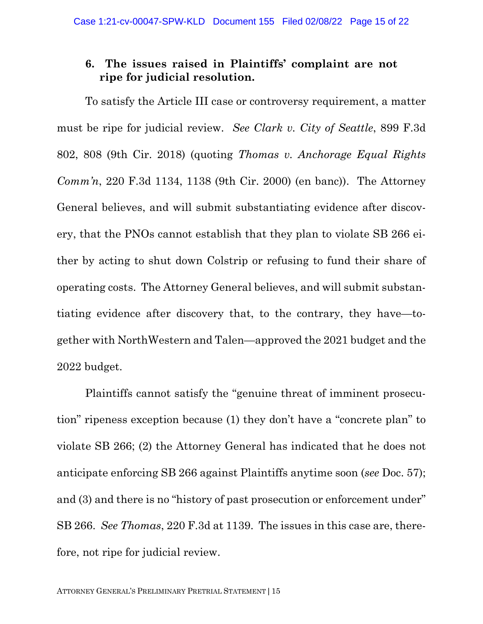## **6. The issues raised in Plaintiffs' complaint are not ripe for judicial resolution.**

To satisfy the Article III case or controversy requirement, a matter must be ripe for judicial review. *See Clark v. City of Seattle*, 899 F.3d 802, 808 (9th Cir. 2018) (quoting *Thomas v. Anchorage Equal Rights Comm'n*, 220 F.3d 1134, 1138 (9th Cir. 2000) (en banc)). The Attorney General believes, and will submit substantiating evidence after discovery, that the PNOs cannot establish that they plan to violate SB 266 either by acting to shut down Colstrip or refusing to fund their share of operating costs. The Attorney General believes, and will submit substantiating evidence after discovery that, to the contrary, they have—together with NorthWestern and Talen—approved the 2021 budget and the 2022 budget.

Plaintiffs cannot satisfy the "genuine threat of imminent prosecution" ripeness exception because (1) they don't have a "concrete plan" to violate SB 266; (2) the Attorney General has indicated that he does not anticipate enforcing SB 266 against Plaintiffs anytime soon (*see* Doc. 57); and (3) and there is no "history of past prosecution or enforcement under" SB 266. *See Thomas*, 220 F.3d at 1139. The issues in this case are, therefore, not ripe for judicial review.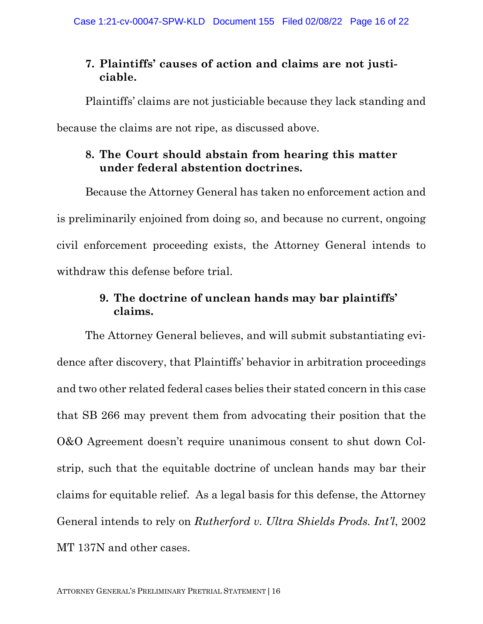# **7. Plaintiffs' causes of action and claims are not justiciable.**

Plaintiffs' claims are not justiciable because they lack standing and because the claims are not ripe, as discussed above.

# **8. The Court should abstain from hearing this matter under federal abstention doctrines.**

Because the Attorney General has taken no enforcement action and is preliminarily enjoined from doing so, and because no current, ongoing civil enforcement proceeding exists, the Attorney General intends to withdraw this defense before trial.

# **9. The doctrine of unclean hands may bar plaintiffs' claims.**

The Attorney General believes, and will submit substantiating evidence after discovery, that Plaintiffs' behavior in arbitration proceedings and two other related federal cases belies their stated concern in this case that SB 266 may prevent them from advocating their position that the O&O Agreement doesn't require unanimous consent to shut down Colstrip, such that the equitable doctrine of unclean hands may bar their claims for equitable relief. As a legal basis for this defense, the Attorney General intends to rely on *Rutherford v. Ultra Shields Prods. Int'l*, 2002 MT 137N and other cases.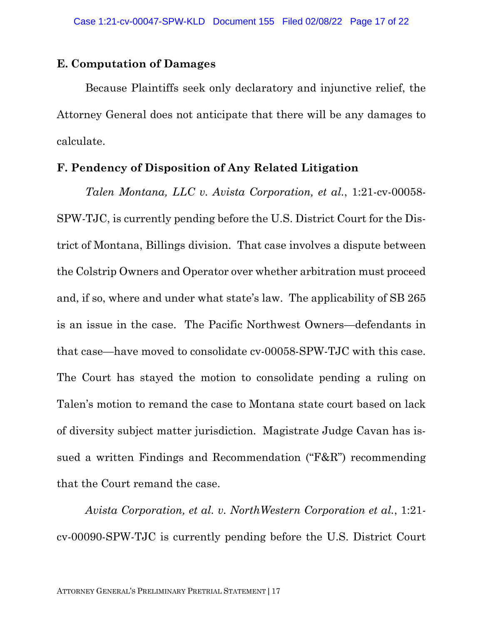#### **E. Computation of Damages**

Because Plaintiffs seek only declaratory and injunctive relief, the Attorney General does not anticipate that there will be any damages to calculate.

#### **F. Pendency of Disposition of Any Related Litigation**

*Talen Montana, LLC v. Avista Corporation, et al.*, 1:21-cv-00058- SPW-TJC, is currently pending before the U.S. District Court for the District of Montana, Billings division. That case involves a dispute between the Colstrip Owners and Operator over whether arbitration must proceed and, if so, where and under what state's law. The applicability of SB 265 is an issue in the case. The Pacific Northwest Owners—defendants in that case—have moved to consolidate cv-00058-SPW-TJC with this case. The Court has stayed the motion to consolidate pending a ruling on Talen's motion to remand the case to Montana state court based on lack of diversity subject matter jurisdiction. Magistrate Judge Cavan has issued a written Findings and Recommendation ("F&R") recommending that the Court remand the case.

*Avista Corporation, et al. v. NorthWestern Corporation et al.*, 1:21 cv-00090-SPW-TJC is currently pending before the U.S. District Court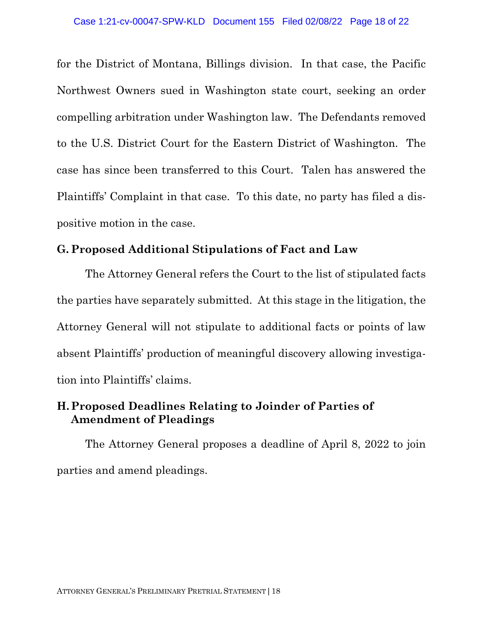for the District of Montana, Billings division. In that case, the Pacific Northwest Owners sued in Washington state court, seeking an order compelling arbitration under Washington law. The Defendants removed to the U.S. District Court for the Eastern District of Washington. The case has since been transferred to this Court. Talen has answered the Plaintiffs' Complaint in that case. To this date, no party has filed a dispositive motion in the case.

## **G. Proposed Additional Stipulations of Fact and Law**

The Attorney General refers the Court to the list of stipulated facts the parties have separately submitted. At this stage in the litigation, the Attorney General will not stipulate to additional facts or points of law absent Plaintiffs' production of meaningful discovery allowing investigation into Plaintiffs' claims.

# **H.Proposed Deadlines Relating to Joinder of Parties of Amendment of Pleadings**

The Attorney General proposes a deadline of April 8, 2022 to join parties and amend pleadings.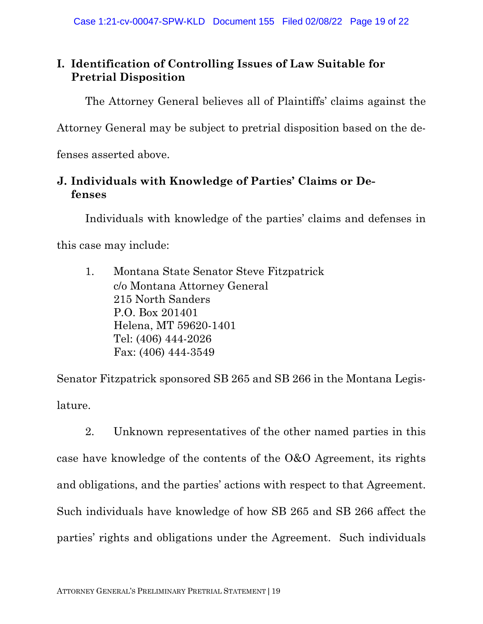# **I. Identification of Controlling Issues of Law Suitable for Pretrial Disposition**

The Attorney General believes all of Plaintiffs' claims against the

Attorney General may be subject to pretrial disposition based on the de-

fenses asserted above.

# **J. Individuals with Knowledge of Parties' Claims or Defenses**

Individuals with knowledge of the parties' claims and defenses in

this case may include:

1. Montana State Senator Steve Fitzpatrick c/o Montana Attorney General 215 North Sanders P.O. Box 201401 Helena, MT 59620-1401 Tel: (406) 444-2026 Fax: (406) 444-3549

Senator Fitzpatrick sponsored SB 265 and SB 266 in the Montana Legislature.

2. Unknown representatives of the other named parties in this case have knowledge of the contents of the O&O Agreement, its rights and obligations, and the parties' actions with respect to that Agreement. Such individuals have knowledge of how SB 265 and SB 266 affect the parties' rights and obligations under the Agreement. Such individuals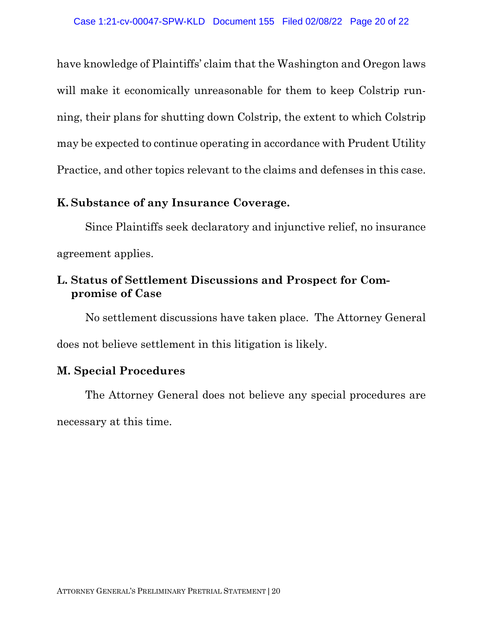have knowledge of Plaintiffs' claim that the Washington and Oregon laws will make it economically unreasonable for them to keep Colstrip running, their plans for shutting down Colstrip, the extent to which Colstrip may be expected to continue operating in accordance with Prudent Utility Practice, and other topics relevant to the claims and defenses in this case.

## **K. Substance of any Insurance Coverage.**

Since Plaintiffs seek declaratory and injunctive relief, no insurance agreement applies.

# **L. Status of Settlement Discussions and Prospect for Compromise of Case**

No settlement discussions have taken place. The Attorney General does not believe settlement in this litigation is likely.

# **M. Special Procedures**

The Attorney General does not believe any special procedures are necessary at this time.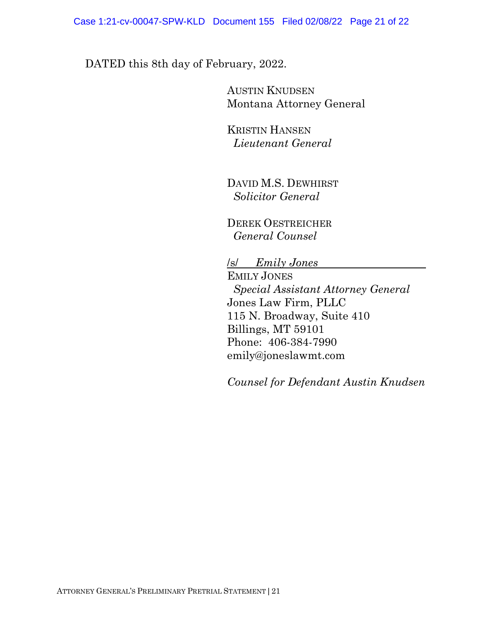## DATED this 8th day of February, 2022.

AUSTIN KNUDSEN Montana Attorney General

KRISTIN HANSEN *Lieutenant General*

DAVID M.S. DEWHIRST  *Solicitor General*

 DEREK OESTREICHER  *General Counsel*

/s/ *Emily Jones* 

 EMILY JONES  *Special Assistant Attorney General* Jones Law Firm, PLLC 115 N. Broadway, Suite 410 Billings, MT 59101 Phone: 406-384-7990 emily@joneslawmt.com

 *Counsel for Defendant Austin Knudsen*